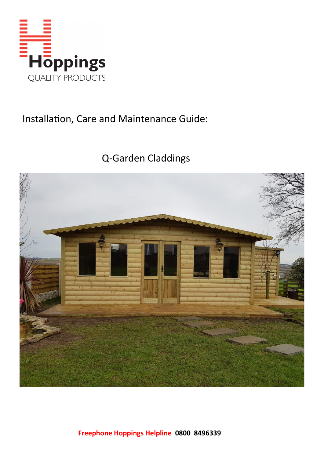

### Installation, Care and Maintenance Guide:

# Q-Garden Claddings

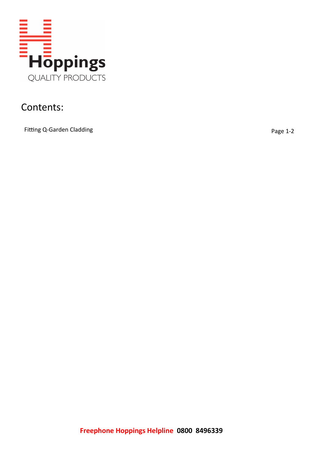

#### Contents:

Fitting Q-Garden Cladding **Page 1-2** and the page 1-2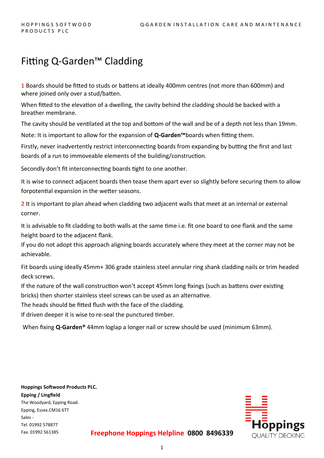### Fitting Q-Garden™ Cladding

**1** Boards should be fitted to studs or battens at ideally 400mm centres (not more than 600mm) and where joined only over a stud/batten.

When fitted to the elevation of a dwelling, the cavity behind the cladding should be backed with a breather membrane.

The cavity should be ventilated at the top and bottom of the wall and be of a depth not less than 19mm.

Note: It is important to allow for the expansion of **Q-Garden™**boards when fitting them.

Firstly, never inadvertently restrict interconnecting boards from expanding by butting the first and last boards of a run to immoveable elements of the building/construction.

Secondly don't fit interconnecting boards tight to one another.

It is wise to connect adjacent boards then tease them apart ever so slightly before securing them to allow forpotential expansion in the wetter seasons.

**2** It is important to plan ahead when cladding two adjacent walls that meet at an internal or external corner.

It is advisable to fit cladding to both walls at the same time i.e. fit one board to one flank and the same height board to the adjacent flank.

If you do not adopt this approach aligning boards accurately where they meet at the corner may not be achievable.

Fit boards using ideally 45mm+ 306 grade stainless steel annular ring shank cladding nails or trim headed deck screws.

If the nature of the wall construction won't accept 45mm long fixings (such as battens over existing bricks) then shorter stainless steel screws can be used as an alternative.

The heads should be fitted flush with the face of the cladding.

If driven deeper it is wise to re-seal the punctured timber.

When fixing **Q-Garden®** 44mm loglap a longer nail or screw should be used (minimum 63mm).

**Hoppings Softwood Products PLC. Epping / Lingfield** The Woodyard, Epping Road. Epping, Essex.CM16 6TT Sales - Tel. 01992 578877 Fax. 01992 561385



**Freephone Hoppings Helpline 0800 8496339**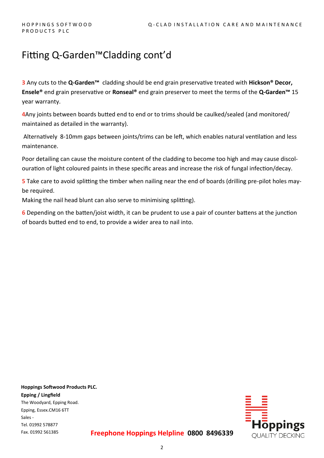## Fitting Q-Garden™Cladding cont'd

**3** Any cuts to the **Q-Garden™** cladding should be end grain preservative treated with **Hickson® Decor, Ensele®** end grain preservative or **Ronseal®** end grain preserver to meet the terms of the **Q-Garden™** 15 year warranty.

**4**Any joints between boards butted end to end or to trims should be caulked/sealed (and monitored/ maintained as detailed in the warranty).

Alternatively 8-10mm gaps between joints/trims can be left, which enables natural ventilation and less maintenance.

Poor detailing can cause the moisture content of the cladding to become too high and may cause discolouration of light coloured paints in these specific areas and increase the risk of fungal infection/decay.

**5** Take care to avoid splitting the timber when nailing near the end of boards (drilling pre-pilot holes maybe required.

Making the nail head blunt can also serve to minimising splitting).

**6** Depending on the batten/joist width, it can be prudent to use a pair of counter battens at the junction of boards butted end to end, to provide a wider area to nail into.

**Hoppings Softwood Products PLC. Epping / Lingfield** The Woodyard, Epping Road. Epping, Essex.CM16 6TT Sales - Tel. 01992 578877 Fax. 01992 561385



**Freephone Hoppings Helpline 0800 8496339**